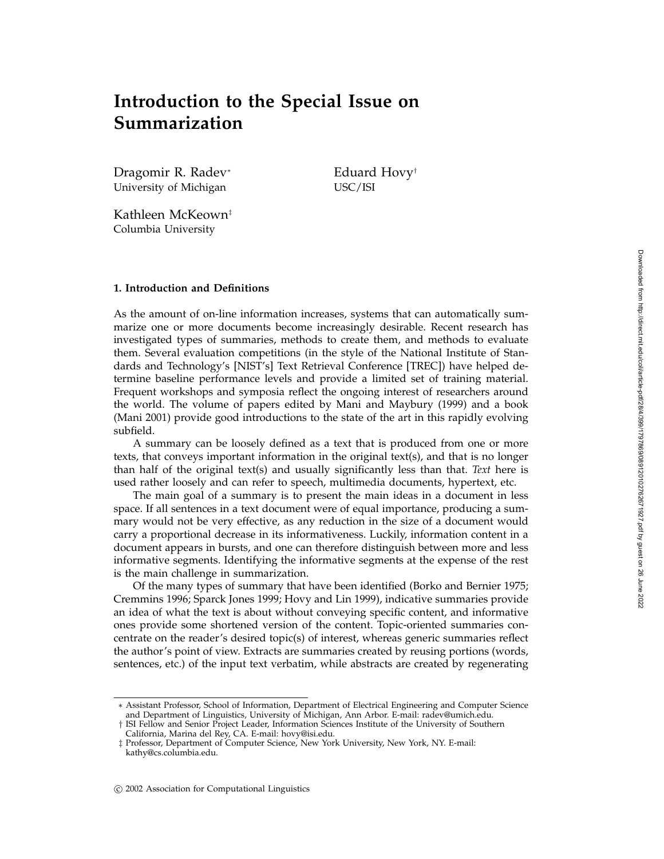# **Introduction to the Special Issue on Summarization**

Dragomir R. Radev<sup>∗</sup> Eduard Hovy<sup>†</sup> University of Michigan USC/ISI

Kathleen McKeown‡ Columbia University

# **1. Introduction and Definitions**

As the amount of on-line information increases, systems that can automatically summarize one or more documents become increasingly desirable. Recent research has investigated types of summaries, methods to create them, and methods to evaluate them. Several evaluation competitions (in the style of the National Institute of Standards and Technology's [NIST's] Text Retrieval Conference [TREC]) have helped determine baseline performance levels and provide a limited set of training material. Frequent workshops and symposia reflect the ongoing interest of researchers around the world. The volume of papers edited by Mani and Maybury (1999) and a book (Mani 2001) provide good introductions to the state of the art in this rapidly evolving subfield.

A summary can be loosely defined as a text that is produced from one or more texts, that conveys important information in the original text(s), and that is no longer than half of the original text(s) and usually significantly less than that. *Text* here is used rather loosely and can refer to speech, multimedia documents, hypertext, etc.

The main goal of a summary is to present the main ideas in a document in less space. If all sentences in a text document were of equal importance, producing a summary would not be very effective, as any reduction in the size of a document would carry a proportional decrease in its informativeness. Luckily, information content in a document appears in bursts, and one can therefore distinguish between more and less informative segments. Identifying the informative segments at the expense of the rest is the main challenge in summarization.

Of the many types of summary that have been identified (Borko and Bernier 1975; Cremmins 1996; Sparck Jones 1999; Hovy and Lin 1999), indicative summaries provide an idea of what the text is about without conveying specific content, and informative ones provide some shortened version of the content. Topic-oriented summaries concentrate on the reader's desired topic(s) of interest, whereas generic summaries reflect the author's point of view. Extracts are summaries created by reusing portions (words, sentences, etc.) of the input text verbatim, while abstracts are created by regenerating

<sup>∗</sup> Assistant Professor, School of Information, Department of Electrical Engineering and Computer Science and Department of Linguistics, University of Michigan, Ann Arbor. E-mail: radev@umich.edu.

<sup>†</sup> ISI Fellow and Senior Project Leader, Information Sciences Institute of the University of Southern California, Marina del Rey, CA. E-mail: hovy@isi.edu.

<sup>‡</sup> Professor, Department of Computer Science, New York University, New York, NY. E-mail: kathy@cs.columbia.edu.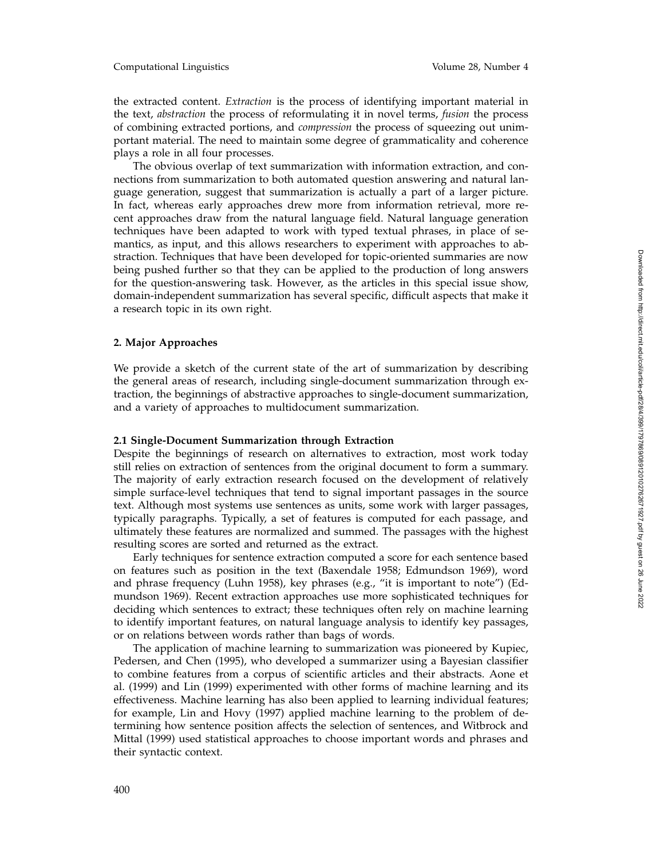the extracted content. *Extraction* is the process of identifying important material in the text, *abstraction* the process of reformulating it in novel terms, *fusion* the process of combining extracted portions, and *compression* the process of squeezing out unimportant material. The need to maintain some degree of grammaticality and coherence plays a role in all four processes.

The obvious overlap of text summarization with information extraction, and connections from summarization to both automated question answering and natural language generation, suggest that summarization is actually a part of a larger picture. In fact, whereas early approaches drew more from information retrieval, more recent approaches draw from the natural language field. Natural language generation techniques have been adapted to work with typed textual phrases, in place of semantics, as input, and this allows researchers to experiment with approaches to abstraction. Techniques that have been developed for topic-oriented summaries are now being pushed further so that they can be applied to the production of long answers for the question-answering task. However, as the articles in this special issue show, domain-independent summarization has several specific, difficult aspects that make it a research topic in its own right.

#### **2. Major Approaches**

We provide a sketch of the current state of the art of summarization by describing the general areas of research, including single-document summarization through extraction, the beginnings of abstractive approaches to single-document summarization, and a variety of approaches to multidocument summarization.

### **2.1 Single-Document Summarization through Extraction**

Despite the beginnings of research on alternatives to extraction, most work today still relies on extraction of sentences from the original document to form a summary. The majority of early extraction research focused on the development of relatively simple surface-level techniques that tend to signal important passages in the source text. Although most systems use sentences as units, some work with larger passages, typically paragraphs. Typically, a set of features is computed for each passage, and ultimately these features are normalized and summed. The passages with the highest resulting scores are sorted and returned as the extract.

Early techniques for sentence extraction computed a score for each sentence based on features such as position in the text (Baxendale 1958; Edmundson 1969), word and phrase frequency (Luhn 1958), key phrases (e.g., "it is important to note") (Edmundson 1969). Recent extraction approaches use more sophisticated techniques for deciding which sentences to extract; these techniques often rely on machine learning to identify important features, on natural language analysis to identify key passages, or on relations between words rather than bags of words.

The application of machine learning to summarization was pioneered by Kupiec, Pedersen, and Chen (1995), who developed a summarizer using a Bayesian classifier to combine features from a corpus of scientific articles and their abstracts. Aone et al. (1999) and Lin (1999) experimented with other forms of machine learning and its effectiveness. Machine learning has also been applied to learning individual features; for example, Lin and Hovy (1997) applied machine learning to the problem of determining how sentence position affects the selection of sentences, and Witbrock and Mittal (1999) used statistical approaches to choose important words and phrases and their syntactic context.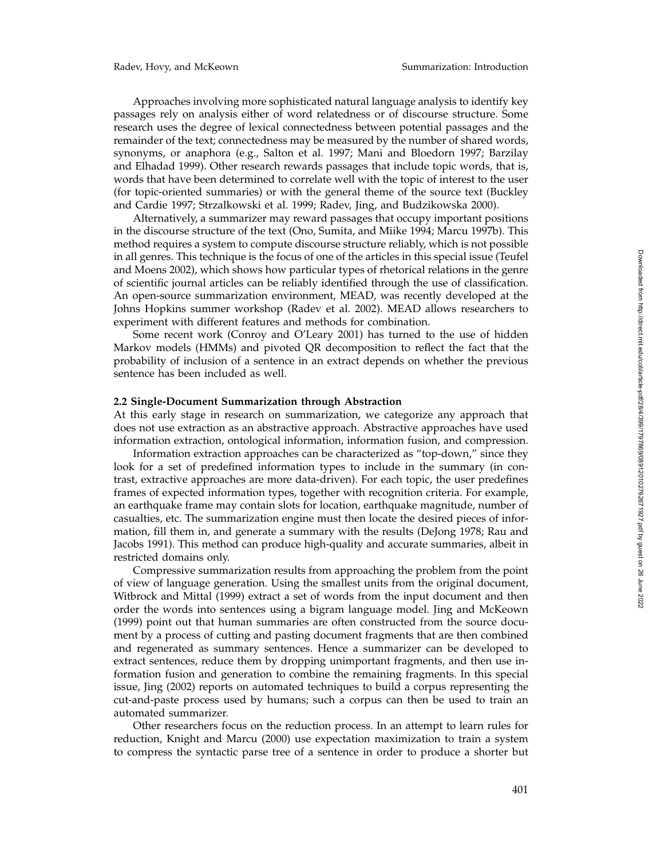Approaches involving more sophisticated natural language analysis to identify key passages rely on analysis either of word relatedness or of discourse structure. Some research uses the degree of lexical connectedness between potential passages and the remainder of the text; connectedness may be measured by the number of shared words, synonyms, or anaphora (e.g., Salton et al. 1997; Mani and Bloedorn 1997; Barzilay and Elhadad 1999). Other research rewards passages that include topic words, that is, words that have been determined to correlate well with the topic of interest to the user (for topic-oriented summaries) or with the general theme of the source text (Buckley and Cardie 1997; Strzalkowski et al. 1999; Radev, Jing, and Budzikowska 2000).

Alternatively, a summarizer may reward passages that occupy important positions in the discourse structure of the text (Ono, Sumita, and Miike 1994; Marcu 1997b). This method requires a system to compute discourse structure reliably, which is not possible in all genres. This technique is the focus of one of the articles in this special issue (Teufel and Moens 2002), which shows how particular types of rhetorical relations in the genre of scientific journal articles can be reliably identified through the use of classification. An open-source summarization environment, MEAD, was recently developed at the Johns Hopkins summer workshop (Radev et al. 2002). MEAD allows researchers to experiment with different features and methods for combination.

Some recent work (Conroy and O'Leary 2001) has turned to the use of hidden Markov models (HMMs) and pivoted QR decomposition to reflect the fact that the probability of inclusion of a sentence in an extract depends on whether the previous sentence has been included as well.

#### **2.2 Single-Document Summarization through Abstraction**

At this early stage in research on summarization, we categorize any approach that does not use extraction as an abstractive approach. Abstractive approaches have used information extraction, ontological information, information fusion, and compression.

Information extraction approaches can be characterized as "top-down," since they look for a set of predefined information types to include in the summary (in contrast, extractive approaches are more data-driven). For each topic, the user predefines frames of expected information types, together with recognition criteria. For example, an earthquake frame may contain slots for location, earthquake magnitude, number of casualties, etc. The summarization engine must then locate the desired pieces of information, fill them in, and generate a summary with the results (DeJong 1978; Rau and Jacobs 1991). This method can produce high-quality and accurate summaries, albeit in restricted domains only.

Compressive summarization results from approaching the problem from the point of view of language generation. Using the smallest units from the original document, Witbrock and Mittal (1999) extract a set of words from the input document and then order the words into sentences using a bigram language model. Jing and McKeown (1999) point out that human summaries are often constructed from the source document by a process of cutting and pasting document fragments that are then combined and regenerated as summary sentences. Hence a summarizer can be developed to extract sentences, reduce them by dropping unimportant fragments, and then use information fusion and generation to combine the remaining fragments. In this special issue, Jing (2002) reports on automated techniques to build a corpus representing the cut-and-paste process used by humans; such a corpus can then be used to train an automated summarizer.

Other researchers focus on the reduction process. In an attempt to learn rules for reduction, Knight and Marcu (2000) use expectation maximization to train a system to compress the syntactic parse tree of a sentence in order to produce a shorter but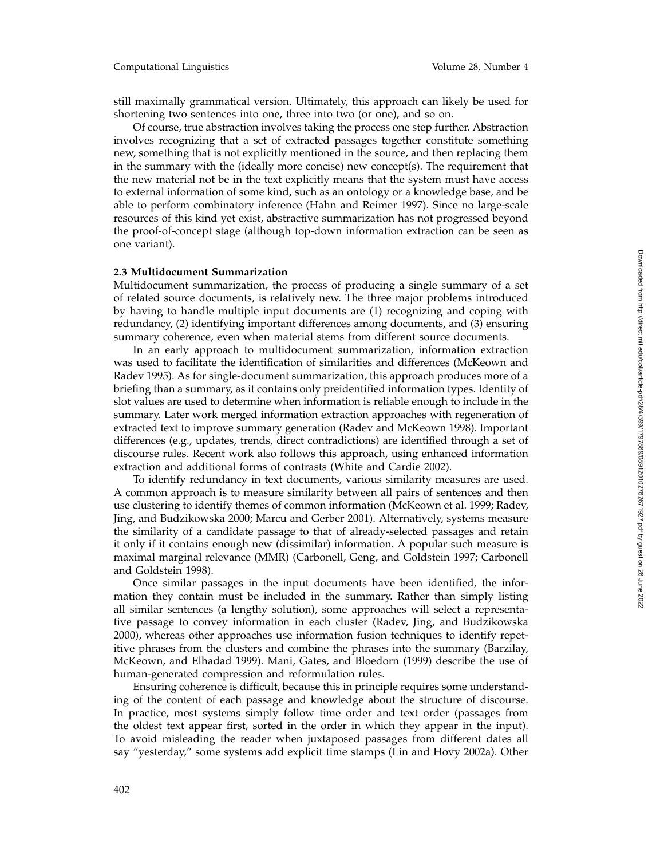still maximally grammatical version. Ultimately, this approach can likely be used for shortening two sentences into one, three into two (or one), and so on.

Of course, true abstraction involves taking the process one step further. Abstraction involves recognizing that a set of extracted passages together constitute something new, something that is not explicitly mentioned in the source, and then replacing them in the summary with the (ideally more concise) new concept(s). The requirement that the new material not be in the text explicitly means that the system must have access to external information of some kind, such as an ontology or a knowledge base, and be able to perform combinatory inference (Hahn and Reimer 1997). Since no large-scale resources of this kind yet exist, abstractive summarization has not progressed beyond the proof-of-concept stage (although top-down information extraction can be seen as one variant).

#### **2.3 Multidocument Summarization**

Multidocument summarization, the process of producing a single summary of a set of related source documents, is relatively new. The three major problems introduced by having to handle multiple input documents are (1) recognizing and coping with redundancy, (2) identifying important differences among documents, and (3) ensuring summary coherence, even when material stems from different source documents.

In an early approach to multidocument summarization, information extraction was used to facilitate the identification of similarities and differences (McKeown and Radev 1995). As for single-document summarization, this approach produces more of a briefing than a summary, as it contains only preidentified information types. Identity of slot values are used to determine when information is reliable enough to include in the summary. Later work merged information extraction approaches with regeneration of extracted text to improve summary generation (Radev and McKeown 1998). Important differences (e.g., updates, trends, direct contradictions) are identified through a set of discourse rules. Recent work also follows this approach, using enhanced information extraction and additional forms of contrasts (White and Cardie 2002).

To identify redundancy in text documents, various similarity measures are used. A common approach is to measure similarity between all pairs of sentences and then use clustering to identify themes of common information (McKeown et al. 1999; Radev, Jing, and Budzikowska 2000; Marcu and Gerber 2001). Alternatively, systems measure the similarity of a candidate passage to that of already-selected passages and retain it only if it contains enough new (dissimilar) information. A popular such measure is maximal marginal relevance (MMR) (Carbonell, Geng, and Goldstein 1997; Carbonell and Goldstein 1998).

Once similar passages in the input documents have been identified, the information they contain must be included in the summary. Rather than simply listing all similar sentences (a lengthy solution), some approaches will select a representative passage to convey information in each cluster (Radev, Jing, and Budzikowska 2000), whereas other approaches use information fusion techniques to identify repetitive phrases from the clusters and combine the phrases into the summary (Barzilay, McKeown, and Elhadad 1999). Mani, Gates, and Bloedorn (1999) describe the use of human-generated compression and reformulation rules.

Ensuring coherence is difficult, because this in principle requires some understanding of the content of each passage and knowledge about the structure of discourse. In practice, most systems simply follow time order and text order (passages from the oldest text appear first, sorted in the order in which they appear in the input). To avoid misleading the reader when juxtaposed passages from different dates all say "yesterday," some systems add explicit time stamps (Lin and Hovy 2002a). Other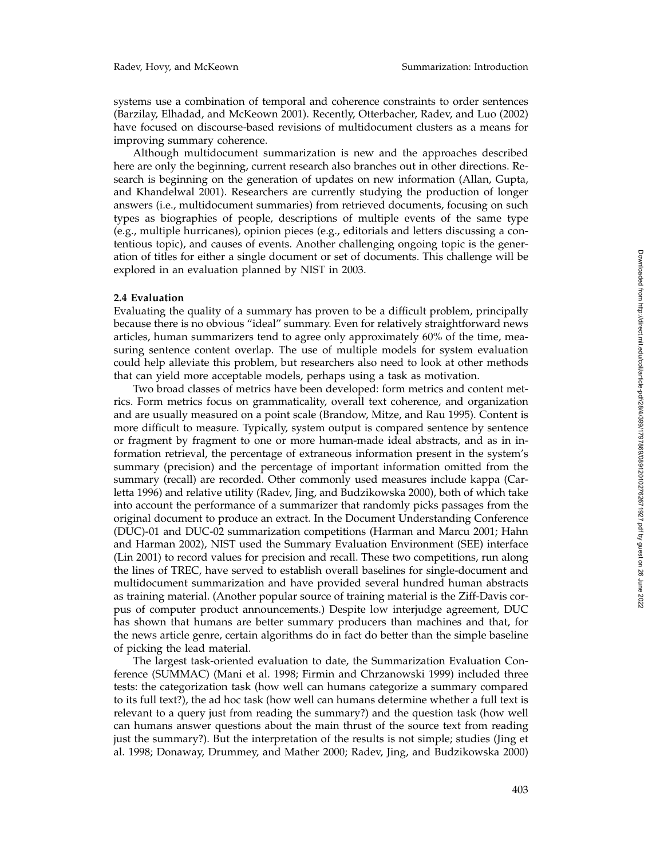systems use a combination of temporal and coherence constraints to order sentences (Barzilay, Elhadad, and McKeown 2001). Recently, Otterbacher, Radev, and Luo (2002) have focused on discourse-based revisions of multidocument clusters as a means for improving summary coherence.

Although multidocument summarization is new and the approaches described here are only the beginning, current research also branches out in other directions. Research is beginning on the generation of updates on new information (Allan, Gupta, and Khandelwal 2001). Researchers are currently studying the production of longer answers (i.e., multidocument summaries) from retrieved documents, focusing on such types as biographies of people, descriptions of multiple events of the same type (e.g., multiple hurricanes), opinion pieces (e.g., editorials and letters discussing a contentious topic), and causes of events. Another challenging ongoing topic is the generation of titles for either a single document or set of documents. This challenge will be explored in an evaluation planned by NIST in 2003.

## **2.4 Evaluation**

Evaluating the quality of a summary has proven to be a difficult problem, principally because there is no obvious "ideal" summary. Even for relatively straightforward news articles, human summarizers tend to agree only approximately 60% of the time, measuring sentence content overlap. The use of multiple models for system evaluation could help alleviate this problem, but researchers also need to look at other methods that can yield more acceptable models, perhaps using a task as motivation.

Two broad classes of metrics have been developed: form metrics and content metrics. Form metrics focus on grammaticality, overall text coherence, and organization and are usually measured on a point scale (Brandow, Mitze, and Rau 1995). Content is more difficult to measure. Typically, system output is compared sentence by sentence or fragment by fragment to one or more human-made ideal abstracts, and as in information retrieval, the percentage of extraneous information present in the system's summary (precision) and the percentage of important information omitted from the summary (recall) are recorded. Other commonly used measures include kappa (Carletta 1996) and relative utility (Radev, Jing, and Budzikowska 2000), both of which take into account the performance of a summarizer that randomly picks passages from the original document to produce an extract. In the Document Understanding Conference (DUC)-01 and DUC-02 summarization competitions (Harman and Marcu 2001; Hahn and Harman 2002), NIST used the Summary Evaluation Environment (SEE) interface (Lin 2001) to record values for precision and recall. These two competitions, run along the lines of TREC, have served to establish overall baselines for single-document and multidocument summarization and have provided several hundred human abstracts as training material. (Another popular source of training material is the Ziff-Davis corpus of computer product announcements.) Despite low interjudge agreement, DUC has shown that humans are better summary producers than machines and that, for the news article genre, certain algorithms do in fact do better than the simple baseline of picking the lead material.

The largest task-oriented evaluation to date, the Summarization Evaluation Conference (SUMMAC) (Mani et al. 1998; Firmin and Chrzanowski 1999) included three tests: the categorization task (how well can humans categorize a summary compared to its full text?), the ad hoc task (how well can humans determine whether a full text is relevant to a query just from reading the summary?) and the question task (how well can humans answer questions about the main thrust of the source text from reading just the summary?). But the interpretation of the results is not simple; studies (Jing et al. 1998; Donaway, Drummey, and Mather 2000; Radev, Jing, and Budzikowska 2000)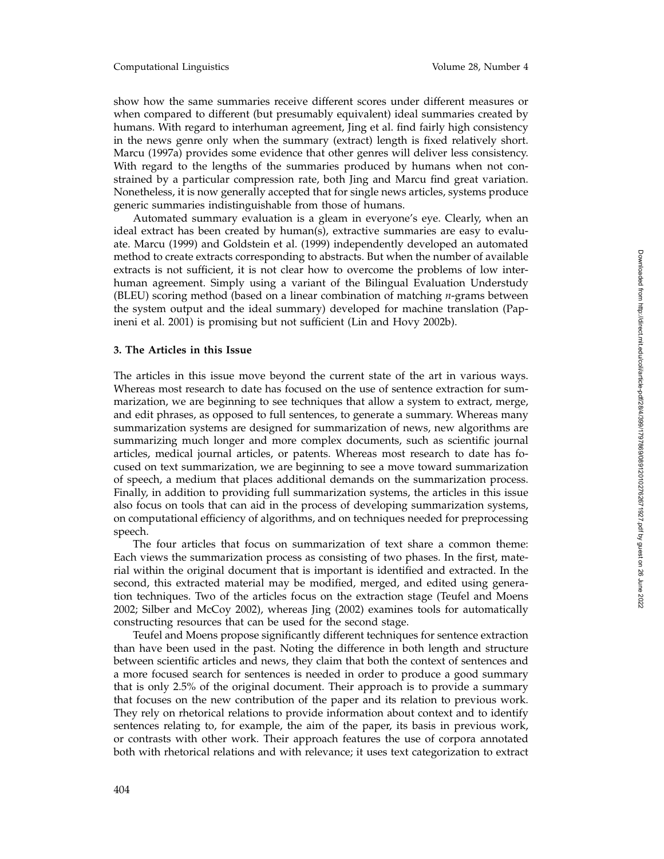show how the same summaries receive different scores under different measures or when compared to different (but presumably equivalent) ideal summaries created by humans. With regard to interhuman agreement, Jing et al. find fairly high consistency in the news genre only when the summary (extract) length is fixed relatively short. Marcu (1997a) provides some evidence that other genres will deliver less consistency. With regard to the lengths of the summaries produced by humans when not constrained by a particular compression rate, both Jing and Marcu find great variation. Nonetheless, it is now generally accepted that for single news articles, systems produce generic summaries indistinguishable from those of humans.

Automated summary evaluation is a gleam in everyone's eye. Clearly, when an ideal extract has been created by human(s), extractive summaries are easy to evaluate. Marcu (1999) and Goldstein et al. (1999) independently developed an automated method to create extracts corresponding to abstracts. But when the number of available extracts is not sufficient, it is not clear how to overcome the problems of low interhuman agreement. Simply using a variant of the Bilingual Evaluation Understudy (BLEU) scoring method (based on a linear combination of matching *n*-grams between the system output and the ideal summary) developed for machine translation (Papineni et al. 2001) is promising but not sufficient (Lin and Hovy 2002b).

### **3. The Articles in this Issue**

The articles in this issue move beyond the current state of the art in various ways. Whereas most research to date has focused on the use of sentence extraction for summarization, we are beginning to see techniques that allow a system to extract, merge, and edit phrases, as opposed to full sentences, to generate a summary. Whereas many summarization systems are designed for summarization of news, new algorithms are summarizing much longer and more complex documents, such as scientific journal articles, medical journal articles, or patents. Whereas most research to date has focused on text summarization, we are beginning to see a move toward summarization of speech, a medium that places additional demands on the summarization process. Finally, in addition to providing full summarization systems, the articles in this issue also focus on tools that can aid in the process of developing summarization systems, on computational efficiency of algorithms, and on techniques needed for preprocessing speech.

The four articles that focus on summarization of text share a common theme: Each views the summarization process as consisting of two phases. In the first, material within the original document that is important is identified and extracted. In the second, this extracted material may be modified, merged, and edited using generation techniques. Two of the articles focus on the extraction stage (Teufel and Moens 2002; Silber and McCoy 2002), whereas Jing (2002) examines tools for automatically constructing resources that can be used for the second stage.

Teufel and Moens propose significantly different techniques for sentence extraction than have been used in the past. Noting the difference in both length and structure between scientific articles and news, they claim that both the context of sentences and a more focused search for sentences is needed in order to produce a good summary that is only 2.5% of the original document. Their approach is to provide a summary that focuses on the new contribution of the paper and its relation to previous work. They rely on rhetorical relations to provide information about context and to identify sentences relating to, for example, the aim of the paper, its basis in previous work, or contrasts with other work. Their approach features the use of corpora annotated both with rhetorical relations and with relevance; it uses text categorization to extract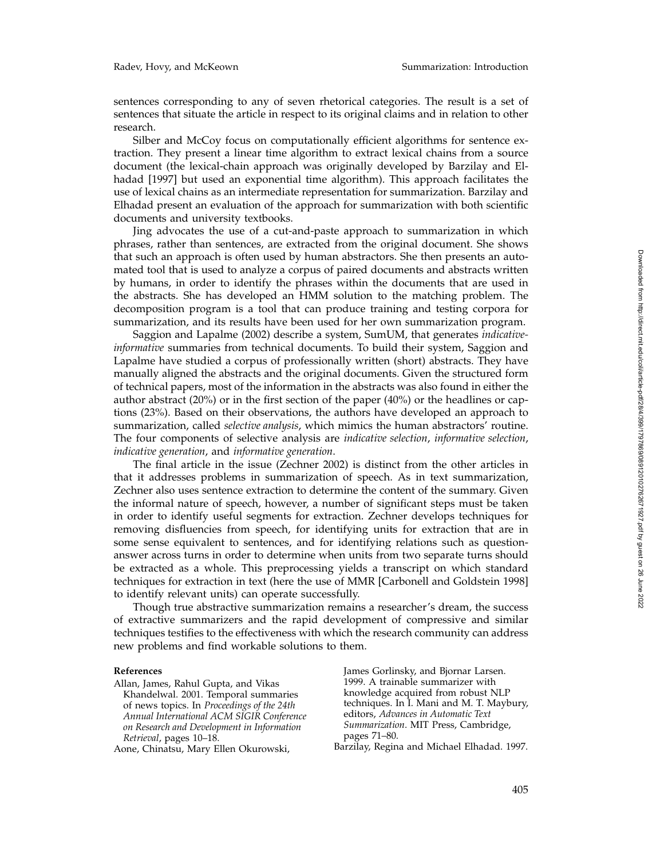sentences corresponding to any of seven rhetorical categories. The result is a set of sentences that situate the article in respect to its original claims and in relation to other research.

Silber and McCoy focus on computationally efficient algorithms for sentence extraction. They present a linear time algorithm to extract lexical chains from a source document (the lexical-chain approach was originally developed by Barzilay and Elhadad [1997] but used an exponential time algorithm). This approach facilitates the use of lexical chains as an intermediate representation for summarization. Barzilay and Elhadad present an evaluation of the approach for summarization with both scientific documents and university textbooks.

Jing advocates the use of a cut-and-paste approach to summarization in which phrases, rather than sentences, are extracted from the original document. She shows that such an approach is often used by human abstractors. She then presents an automated tool that is used to analyze a corpus of paired documents and abstracts written by humans, in order to identify the phrases within the documents that are used in the abstracts. She has developed an HMM solution to the matching problem. The decomposition program is a tool that can produce training and testing corpora for summarization, and its results have been used for her own summarization program.

Saggion and Lapalme (2002) describe a system, SumUM, that generates *indicativeinformative* summaries from technical documents. To build their system, Saggion and Lapalme have studied a corpus of professionally written (short) abstracts. They have manually aligned the abstracts and the original documents. Given the structured form of technical papers, most of the information in the abstracts was also found in either the author abstract (20%) or in the first section of the paper (40%) or the headlines or captions (23%). Based on their observations, the authors have developed an approach to summarization, called *selective analysis*, which mimics the human abstractors' routine. The four components of selective analysis are *indicative selection* , *informative selection* , *indicative generation*, and *informative generation* .

The final article in the issue (Zechner 2002) is distinct from the other articles in that it addresses problems in summarization of speech. As in text summarization, Zechner also uses sentence extraction to determine the content of the summary. Given the informal nature of speech, however, a number of significant steps must be taken in order to identify useful segments for extraction. Zechner develops techniques for removing disfluencies from speech, for identifying units for extraction that are in some sense equivalent to sentences, and for identifying relations such as questionanswer across turns in order to determine when units from two separate turns should be extracted as a whole. This preprocessing yields a transcript on which standard techniques for extraction in text (here the use of MMR [Carbonell and Goldstein 1998] to identify relevant units) can operate successfully.

Though true abstractive summarization remains a researcher's dream, the success of extractive summarizers and the rapid development of compressive and similar techniques testifies to the effectiveness with which the research community can address new problems and find workable solutions to them.

#### **References**

Allan, James, Rahul Gupta, and Vikas Khandelwal. 2001. Temporal summaries of news topics. In *Proceedings of the 24th Annual International ACM SIGIR Conference on Research and Development in Information Retrieval*, pages 10–18.

Aone, Chinatsu, Mary Ellen Okurowski,

James Gorlinsky, and Bjornar Larsen. 1999. A trainable summarizer with knowledge acquired from robust NLP techniques. In I. Mani and M. T. Maybury, editors, *Advances in Automatic Text Summarization*. MIT Press, Cambridge, pages 71–80.

Barzilay, Regina and Michael Elhadad. 1997.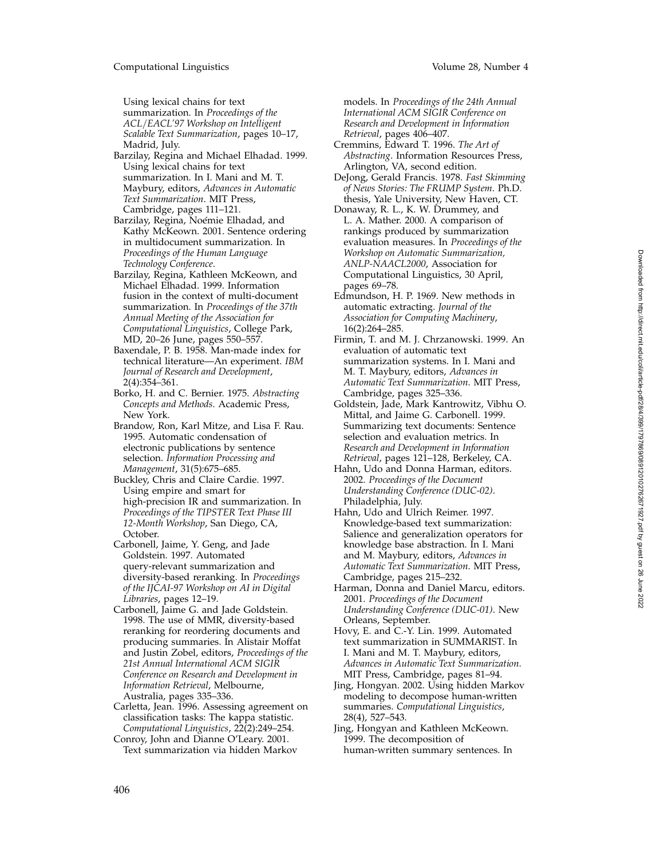Using lexical chains for text summarization. In *Proceedings of the ACL* /*EACL'97 Workshop on Intelligent Scalable Text Summarization*, pages 10–17, Madrid, July.

- Barzilay, Regina and Michael Elhadad. 1999. Using lexical chains for text summarization. In I. Mani and M. T. Maybury, editors, *Advances in Automatic Text Summarization*. MIT Press, Cambridge, pages 111–121.
- Barzilay, Regina, Noémie Elhadad, and Kathy McKeown. 2001. Sentence ordering in multidocument summarization. In *Proceedings of the Human Language Technology Conference* .

Barzilay, Regina, Kathleen McKeown, and Michael Elhadad. 1999. Information fusion in the context of multi-document summarization. In *Proceedings of the 37th Annual Meeting of the Association for Computational Linguistics*, College Park, MD, 20–26 June, pages 550–557.

Baxendale, P. B. 1958. Man-made index for technical literature—An experiment. *IBM Journal of Research and Development* , 2(4):354–361.

Borko, H. and C. Bernier. 1975. *Abstracting Concepts and Methods*. Academic Press, New York.

Brandow, Ron, Karl Mitze, and Lisa F. Rau. 1995. Automatic condensation of electronic publications by sentence selection. *Information Processing and Management*, 31(5):675–685.

Buckley, Chris and Claire Cardie. 1997. Using empire and smart for high-precision IR and summarization. In *Proceedings of the TIPSTER Text Phase III 12-Month Workshop*, San Diego, CA, October.

Carbonell, Jaime, Y. Geng, and Jade Goldstein. 1997. Automated query-relevant summarization and diversity-based reranking. In *Proceedings of the IJCAI-97 Workshop on AI in Digital Libraries*, pages 12–19.

- Carbonell, Jaime G. and Jade Goldstein. 1998. The use of MMR, diversity-based reranking for reordering documents and producing summaries. In Alistair Moffat and Justin Zobel, editors, *Proceedings of the 21st Annual International ACM SIGIR Conference on Research and Development in Information Retrieval*, Melbourne, Australia, pages 335–336.
- Carletta, Jean. 1996. Assessing agreement on classification tasks: The kappa statistic. *Computational Linguistics*, 22(2):249–254.
- Conroy, John and Dianne O'Leary. 2001. Text summarization via hidden Markov

models. In *Proceedings of the 24th Annual International ACM SIGIR Conference on Research and Development in Information Retrieval*, pages 406–407.

- Cremmins, Edward T. 1996. *The Art of Abstracting*. Information Resources Press, Arlington, VA, second edition.
- DeJong, Gerald Francis. 1978. *Fast Skimming of News Stories: The FRUMP System*. Ph.D. thesis, Yale University, New Haven, CT.
- Donaway, R. L., K. W. Drummey, and L. A. Mather. 2000. A comparison of rankings produced by summarization evaluation measures. In *Proceedings of the Workshop on Automatic Summarization, ANLP-NAACL2000*, Association for Computational Linguistics, 30 April, pages 69–78.
- Edmundson, H. P. 1969. New methods in automatic extracting. *Journal of the Association for Computing Machinery* , 16(2):264–285.
- Firmin, T. and M. J. Chrzanowski. 1999. An evaluation of automatic text summarization systems. In I. Mani and M. T. Maybury, editors, *Advances in Automatic Text Summarization*. MIT Press, Cambridge, pages 325–336.
- Goldstein, Jade, Mark Kantrowitz, Vibhu O. Mittal, and Jaime G. Carbonell. 1999. Summarizing text documents: Sentence selection and evaluation metrics. In *Research and Development in Information Retrieval*, pages 121–128, Berkeley, CA.
- Hahn, Udo and Donna Harman, editors. 2002. *Proceedings of the Document Understanding Conference (DUC-02)* . Philadelphia, July.
- Hahn, Udo and Ulrich Reimer. 1997. Knowledge-based text summarization: Salience and generalization operators for knowledge base abstraction. In I. Mani and M. Maybury, editors, *Advances in Automatic Text Summarization*. MIT Press, Cambridge, pages 215–232.
- Harman, Donna and Daniel Marcu, editors. 2001. *Proceedings of the Document Understanding Conference (DUC-01)*. New Orleans, September.
- Hovy, E. and C.-Y. Lin. 1999. Automated text summarization in SUMMARIST. In I. Mani and M. T. Maybury, editors, *Advances in Automatic Text Summarization* . MIT Press, Cambridge, pages 81–94.
- Jing, Hongyan. 2002. Using hidden Markov modeling to decompose human-written summaries. *Computational Linguistics* , 28(4), 527–543.
- Jing, Hongyan and Kathleen McKeown. 1999. The decomposition of human-written summary sentences. In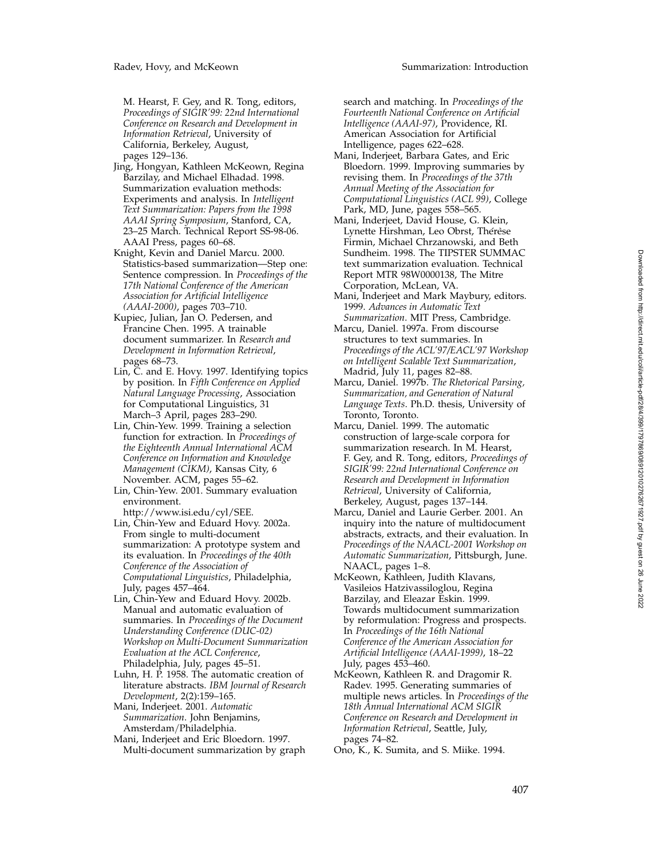M. Hearst, F. Gey, and R. Tong, editors, *Proceedings of SIGIR'99: 22nd International Conference on Research and Development in Information Retrieval*, University of California, Berkeley, August, pages 129–136.

- Jing, Hongyan, Kathleen McKeown, Regina Barzilay, and Michael Elhadad. 1998. Summarization evaluation methods: Experiments and analysis. In *Intelligent Text Summarization: Papers from the 1998 AAAI Spring Symposium*, Stanford, CA, 23–25 March. Technical Report SS-98-06. AAAI Press, pages 60–68.
- Knight, Kevin and Daniel Marcu. 2000. Statistics-based summarization—Step one: Sentence compression. In *Proceedings of the 17th National Conference of the American Association for Artificial Intelligence (AAAI-2000)*, pages 703–710.
- Kupiec, Julian, Jan O. Pedersen, and Francine Chen. 1995. A trainable document summarizer. In *Research and Development in Information Retrieval* , pages 68–73.
- Lin, C. and E. Hovy. 1997. Identifying topics by position. In *Fifth Conference on Applied Natural Language Processing*, Association for Computational Linguistics, 31 March–3 April, pages 283–290.
- Lin, Chin-Yew. 1999. Training a selection function for extraction. In *Proceedings of the Eighteenth Annual International ACM Conference on Information and Knowledge Management (CIKM)*, Kansas City, 6 November. ACM, pages 55–62.
- Lin, Chin-Yew. 2001. Summary evaluation environment.
	- http://www.isi.edu/cyl/SEE.
- Lin, Chin-Yew and Eduard Hovy. 2002a. From single to multi-document summarization: A prototype system and its evaluation. In *Proceedings of the 40th Conference of the Association of Computational Linguistics*, Philadelphia, July, pages 457–464.
- Lin, Chin-Yew and Eduard Hovy. 2002b. Manual and automatic evaluation of summaries. In *Proceedings of the Document Understanding Conference (DUC-02) Workshop on Multi-Document Summarization Evaluation at the ACL Conference* , Philadelphia, July, pages 45–51.
- Luhn, H. P. 1958. The automatic creation of literature abstracts. *IBM Journal of Research Development*, 2(2):159–165.
- Mani, Inderjeet. 2001. *Automatic Summarization*. John Benjamins, Amsterdam /Philadelphia.
- Mani, Inderjeet and Eric Bloedorn. 1997. Multi-document summarization by graph

search and matching. In *Proceedings of the Fourteenth National Conference on Artificial Intelligence (AAAI-97)*, Providence, RI. American Association for Artificial Intelligence, pages 622–628.

- Mani, Inderjeet, Barbara Gates, and Eric Bloedorn. 1999. Improving summaries by revising them. In *Proceedings of the 37th Annual Meeting of the Association for Computational Linguistics (ACL 99)*, College Park, MD, June, pages 558–565.
- Mani, Inderjeet, David House, G. Klein, Lynette Hirshman, Leo Obrst, Thérèse Firmin, Michael Chrzanowski, and Beth Sundheim. 1998. The TIPSTER SUMMAC text summarization evaluation. Technical Report MTR 98W0000138, The Mitre Corporation, McLean, VA.
- Mani, Inderjeet and Mark Maybury, editors. 1999. *Advances in Automatic Text Summarization*. MIT Press, Cambridge.
- Marcu, Daniel. 1997a. From discourse structures to text summaries. In *Proceedings of the ACL'97/EACL'97 Workshop on Intelligent Scalable Text Summarization* , Madrid, July 11, pages 82–88.
- Marcu, Daniel. 1997b. *The Rhetorical Parsing, Summarization, and Generation of Natural Language Texts*. Ph.D. thesis, University of Toronto, Toronto.
- Marcu, Daniel. 1999. The automatic construction of large-scale corpora for summarization research. In M. Hearst, F. Gey, and R. Tong, editors, *Proceedings of SIGIR'99: 22nd International Conference on Research and Development in Information Retrieval*, University of California, Berkeley, August, pages 137–144.
- Marcu, Daniel and Laurie Gerber. 2001. An inquiry into the nature of multidocument abstracts, extracts, and their evaluation. In *Proceedings of the NAACL-2001 Workshop on Automatic Summarization*, Pittsburgh, June. NAACL, pages 1–8.
- McKeown, Kathleen, Judith Klavans, Vasileios Hatzivassiloglou, Regina Barzilay, and Eleazar Eskin. 1999. Towards multidocument summarization by reformulation: Progress and prospects. In *Proceedings of the 16th National Conference of the American Association for Artificial Intelligence (AAAI-1999)*, 18–22 July, pages 453–460.
- McKeown, Kathleen R. and Dragomir R. Radev. 1995. Generating summaries of multiple news articles. In *Proceedings of the 18th Annual International ACM SIGIR Conference on Research and Development in Information Retrieval*, Seattle, July, pages 74–82.
- Ono, K., K. Sumita, and S. Miike. 1994.